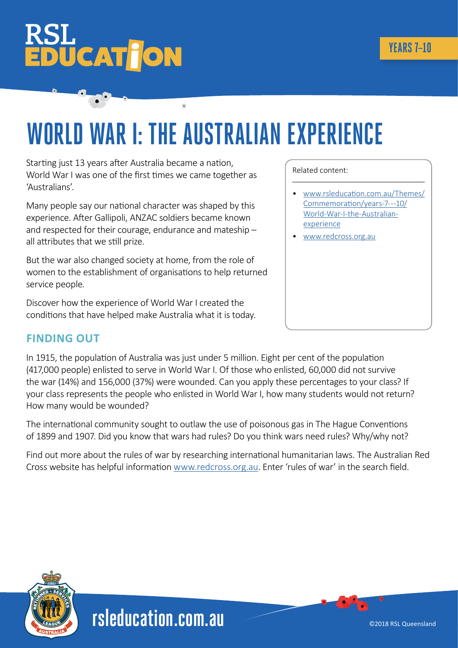# **ÜCAT<mark>Î</mark>ON**

## **WORLD WAR I: THE AUSTRALIAN EXPERIENCE**

Starting just 13 years after Australia became a nation, World War I was one of the first times we came together as 'Australians'.

Many people say our national character was shaped by this experience. After Gallipoli, ANZAC soldiers became known and respected for their courage, endurance and mateship – all attributes that we still prize.

But the war also changed society at home, from the role of women to the establishment of organisations to help returned service people.

Discover how the experience of World War I created the conditions that have helped make Australia what it is today.

### **FINDING OUT**

In 1915, the population of Australia was just under 5 million. Eight per cent of the population (417,000 people) enlisted to serve in World War I. Of those who enlisted, 60,000 did not survive the war (14%) and 156,000 (37%) were wounded. Can you apply these percentages to your class? If your class represents the people who enlisted in World War I, how many students would not return? How many would be wounded?

The international community sought to outlaw the use of poisonous gas in The Hague Conventions of 1899 and 1907. Did you know that wars had rules? Do you think wars need rules? Why/why not?

Find out more about the rules of war by researching international humanitarian laws. The Australian Red Cross website has helpful information [www.redcross.org.au.](http://www.redcross.org.au) Enter 'rules of war' in the search field.



Related content:

- [www.rsleducation.com.au/Themes/](http://www.rsleducation.com.au/Themes/Commemoration/years-7---10/World-War-I-the-Australian-experience) [Commemoration/years-7---10/](http://www.rsleducation.com.au/Themes/Commemoration/years-7---10/World-War-I-the-Australian-experience) [World-War-I-the-Australian](http://www.rsleducation.com.au/Themes/Commemoration/years-7---10/World-War-I-the-Australian-experience)[experience](http://www.rsleducation.com.au/Themes/Commemoration/years-7---10/World-War-I-the-Australian-experience)
- [www.redcross.org.au](http://www.redcross.org.au)

**[rsleducation.com.au](http://rsleducation.com.au)**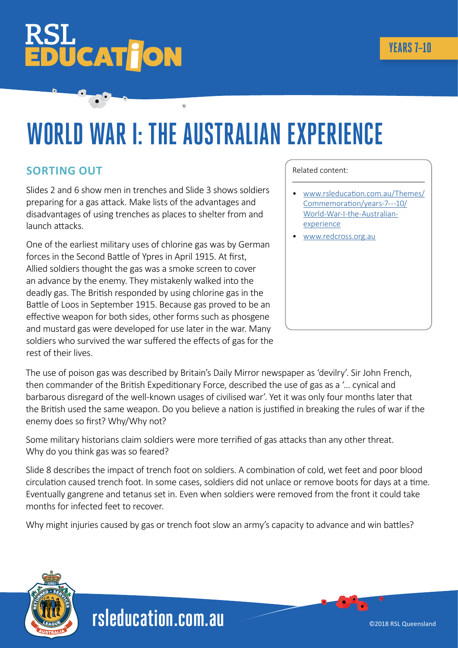# **UCATION**

## **WORLD WAR I: THE AUSTRALIAN EXPERIENCE**

#### **SORTING OUT**

Slides 2 and 6 show men in trenches and Slide 3 shows soldiers preparing for a gas attack. Make lists of the advantages and disadvantages of using trenches as places to shelter from and launch attacks.

One of the earliest military uses of chlorine gas was by German forces in the Second Battle of Ypres in April 1915. At first, Allied soldiers thought the gas was a smoke screen to cover an advance by the enemy. They mistakenly walked into the deadly gas. The British responded by using chlorine gas in the Battle of Loos in September 1915. Because gas proved to be an effective weapon for both sides, other forms such as phosgene and mustard gas were developed for use later in the war. Many soldiers who survived the war suffered the effects of gas for the rest of their lives.

#### Related content:

- [www.rsleducation.com.au/Themes/](http://www.rsleducation.com.au/Themes/Commemoration/years-7---10/World-War-I-the-Australian-experience) [Commemoration/years-7---10/](http://www.rsleducation.com.au/Themes/Commemoration/years-7---10/World-War-I-the-Australian-experience) [World-War-I-the-Australian](http://www.rsleducation.com.au/Themes/Commemoration/years-7---10/World-War-I-the-Australian-experience)[experience](http://www.rsleducation.com.au/Themes/Commemoration/years-7---10/World-War-I-the-Australian-experience)
- [www.redcross.org.au](http://www.redcross.org.au)

The use of poison gas was described by Britain's Daily Mirror newspaper as 'devilry'. Sir John French, then commander of the British Expeditionary Force, described the use of gas as a '… cynical and barbarous disregard of the well-known usages of civilised war'. Yet it was only four months later that the British used the same weapon. Do you believe a nation is justified in breaking the rules of war if the enemy does so first? Why/Why not?

Some military historians claim soldiers were more terrified of gas attacks than any other threat. Why do you think gas was so feared?

Slide 8 describes the impact of trench foot on soldiers. A combination of cold, wet feet and poor blood circulation caused trench foot. In some cases, soldiers did not unlace or remove boots for days at a time. Eventually gangrene and tetanus set in. Even when soldiers were removed from the front it could take months for infected feet to recover.

Why might injuries caused by gas or trench foot slow an army's capacity to advance and win battles?

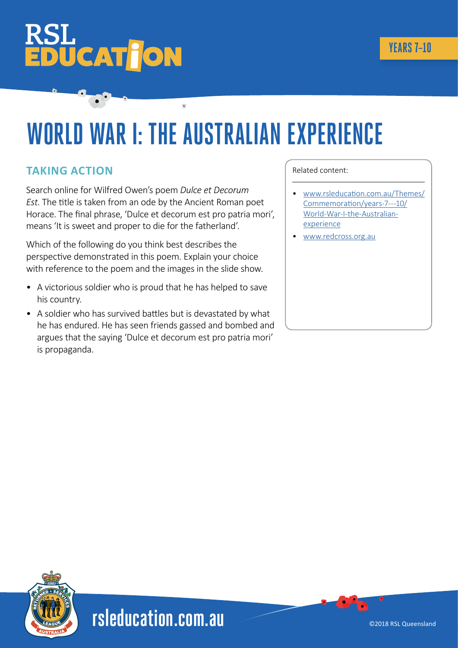# **ÜCAT JON**

## **WORLD WAR I: THE AUSTRALIAN EXPERIENCE**

#### **TAKING ACTION**

Search online for Wilfred Owen's poem *Dulce et Decorum Est*. The title is taken from an ode by the Ancient Roman poet Horace. The final phrase, 'Dulce et decorum est pro patria mori', means 'It is sweet and proper to die for the fatherland'.

Which of the following do you think best describes the perspective demonstrated in this poem. Explain your choice with reference to the poem and the images in the slide show.

- A victorious soldier who is proud that he has helped to save his country.
- A soldier who has survived battles but is devastated by what he has endured. He has seen friends gassed and bombed and argues that the saying 'Dulce et decorum est pro patria mori' is propaganda.

#### Related content:

- [www.rsleducation.com.au/Themes/](http://www.rsleducation.com.au/Themes/Commemoration/years-7---10/World-War-I-the-Australian-experience) [Commemoration/years-7---10/](http://www.rsleducation.com.au/Themes/Commemoration/years-7---10/World-War-I-the-Australian-experience) [World-War-I-the-Australian](http://www.rsleducation.com.au/Themes/Commemoration/years-7---10/World-War-I-the-Australian-experience)[experience](http://www.rsleducation.com.au/Themes/Commemoration/years-7---10/World-War-I-the-Australian-experience)
- [www.redcross.org.au](http://www.redcross.org.au)



**[rsleducation.com.au](http://rsleducation.com.au)**